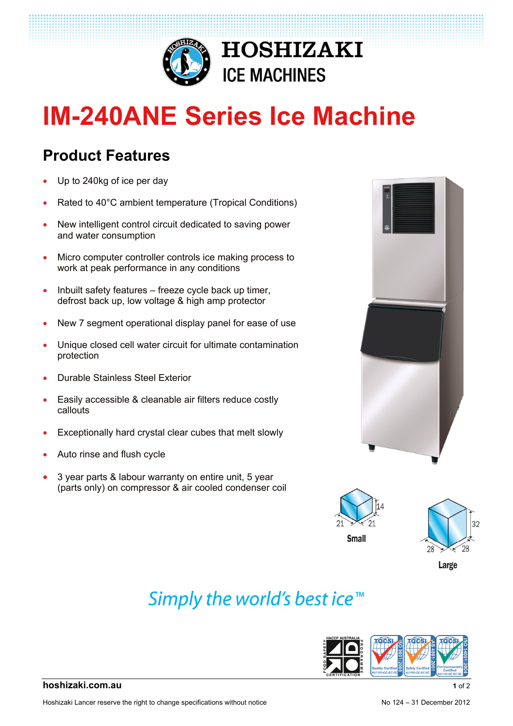

# **IM-240ANE Series Ice Machine**

### **Product Features**

- Up to 240kg of ice per day
- Rated to 40°C ambient temperature (Tropical Conditions)
- New intelligent control circuit dedicated to saving power and water consumption
- Micro computer controller controls ice making process to work at peak performance in any conditions
- $\bullet$  Inbuilt safety features freeze cycle back up timer, defrost back up, low voltage & high amp protector
- New 7 segment operational display panel for ease of use
- Unique closed cell water circuit for ultimate contamination protection
- Durable Stainless Steel Exterior
- Easily accessible & cleanable air filters reduce costly callouts
- Exceptionally hard crystal clear cubes that melt slowly
- Auto rinse and flush cycle
- 3 year parts & labour warranty on entire unit, 5 year (parts only) on compressor & air cooled condenser coil







Large

## Simply the world's best ice<sup>™</sup>